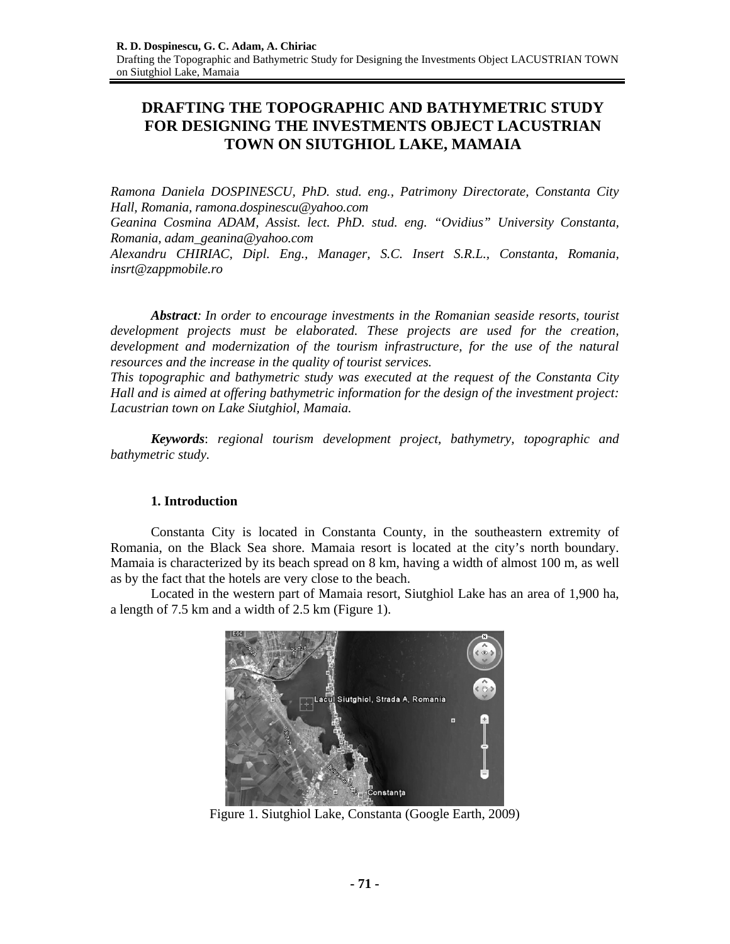# **DRAFTING THE TOPOGRAPHIC AND BATHYMETRIC STUDY FOR DESIGNING THE INVESTMENTS OBJECT LACUSTRIAN TOWN ON SIUTGHIOL LAKE, MAMAIA**

*Ramona Daniela DOSPINESCU, PhD. stud. eng., Patrimony Directorate, Constanta City Hall, Romania, ramona.dospinescu@yahoo.com* 

*Geanina Cosmina ADAM, Assist. lect. PhD. stud. eng. "Ovidius" University Constanta, Romania, adam\_geanina@yahoo.com* 

*Alexandru CHIRIAC, Dipl. Eng., Manager, S.C. Insert S.R.L., Constanta, Romania, insrt@zappmobile.ro* 

*Abstract: In order to encourage investments in the Romanian seaside resorts, tourist development projects must be elaborated. These projects are used for the creation, development and modernization of the tourism infrastructure, for the use of the natural resources and the increase in the quality of tourist services.* 

*This topographic and bathymetric study was executed at the request of the Constanta City Hall and is aimed at offering bathymetric information for the design of the investment project: Lacustrian town on Lake Siutghiol, Mamaia.* 

*Keywords*: *regional tourism development project, bathymetry, topographic and bathymetric study.* 

### **1. Introduction**

Constanta City is located in Constanta County, in the southeastern extremity of Romania, on the Black Sea shore. Mamaia resort is located at the city's north boundary. Mamaia is characterized by its beach spread on 8 km, having a width of almost 100 m, as well as by the fact that the hotels are very close to the beach.

Located in the western part of Mamaia resort, Siutghiol Lake has an area of 1,900 ha, a length of 7.5 km and a width of 2.5 km (Figure 1).



Figure 1. Siutghiol Lake, Constanta (Google Earth, 2009)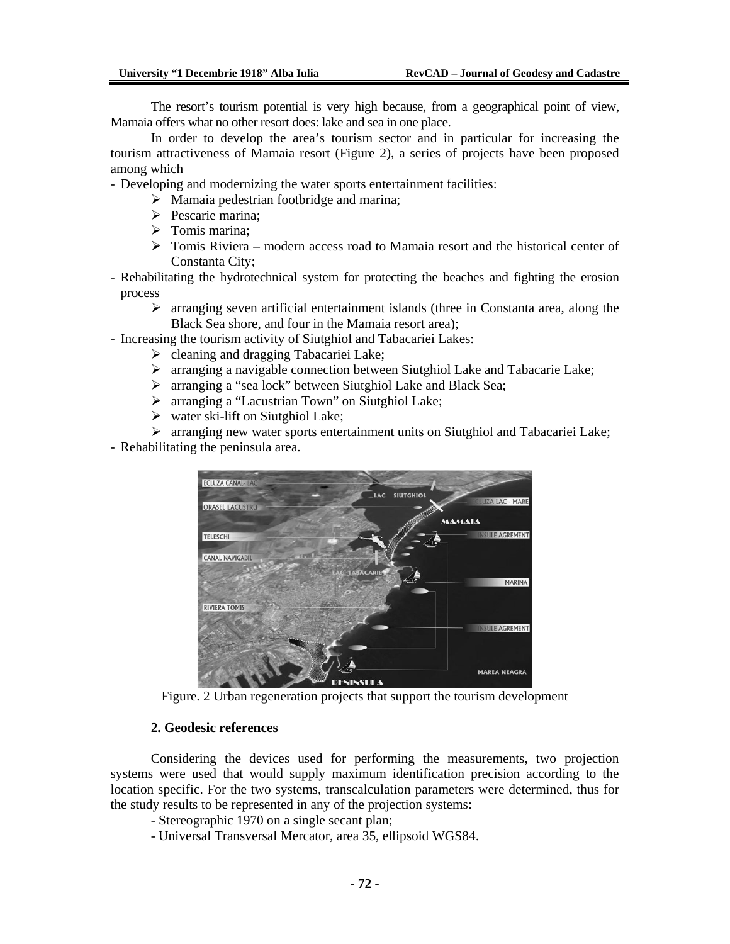The resort's tourism potential is very high because, from a geographical point of view, Mamaia offers what no other resort does: lake and sea in one place.

In order to develop the area's tourism sector and in particular for increasing the tourism attractiveness of Mamaia resort (Figure 2), a series of projects have been proposed among which

- Developing and modernizing the water sports entertainment facilities:

- $\triangleright$  Mamaia pedestrian footbridge and marina;
- $\triangleright$  Pescarie marina;
- $\triangleright$  Tomis marina:
- $\triangleright$  Tomis Riviera modern access road to Mamaia resort and the historical center of Constanta City;
- Rehabilitating the hydrotechnical system for protecting the beaches and fighting the erosion process
	- $\triangleright$  arranging seven artificial entertainment islands (three in Constanta area, along the Black Sea shore, and four in the Mamaia resort area);
- Increasing the tourism activity of Siutghiol and Tabacariei Lakes:
	- $\triangleright$  cleaning and dragging Tabacariei Lake;
	- $\triangleright$  arranging a navigable connection between Siutghiol Lake and Tabacarie Lake;
	- ¾ arranging a "sea lock" between Siutghiol Lake and Black Sea;
	- ¾ arranging a "Lacustrian Town" on Siutghiol Lake;
	- $\triangleright$  water ski-lift on Siutghiol Lake;

¾ arranging new water sports entertainment units on Siutghiol and Tabacariei Lake;

- Rehabilitating the peninsula area.



Figure. 2 Urban regeneration projects that support the tourism development

### **2. Geodesic references**

Considering the devices used for performing the measurements, two projection systems were used that would supply maximum identification precision according to the location specific. For the two systems, transcalculation parameters were determined, thus for the study results to be represented in any of the projection systems:

- Stereographic 1970 on a single secant plan;
- Universal Transversal Mercator, area 35, ellipsoid WGS84.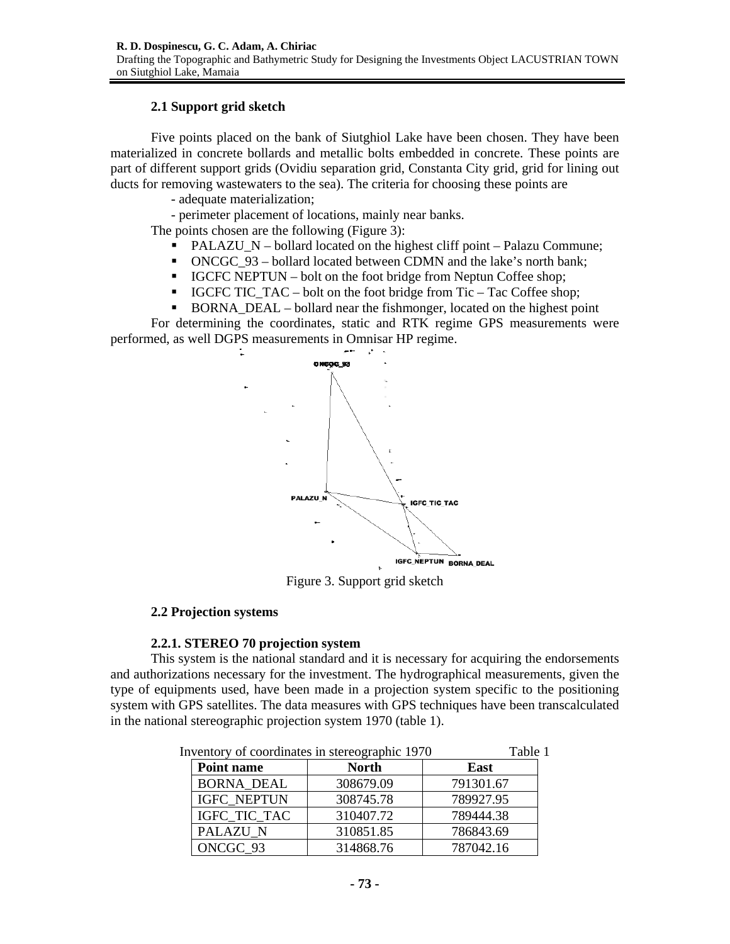## **2.1 Support grid sketch**

Five points placed on the bank of Siutghiol Lake have been chosen. They have been materialized in concrete bollards and metallic bolts embedded in concrete. These points are part of different support grids (Ovidiu separation grid, Constanta City grid, grid for lining out ducts for removing wastewaters to the sea). The criteria for choosing these points are

- adequate materialization;

÷

- perimeter placement of locations, mainly near banks.

The points chosen are the following (Figure 3):

- PALAZU N bollard located on the highest cliff point Palazu Commune;
- ONCGC\_93 bollard located between CDMN and the lake's north bank;
- IGCFC NEPTUN bolt on the foot bridge from Neptun Coffee shop;
- IGCFC TIC TAC bolt on the foot bridge from Tic Tac Coffee shop;
- BORNA DEAL bollard near the fishmonger, located on the highest point

For determining the coordinates, static and RTK regime GPS measurements were performed, as well DGPS measurements in Omnisar HP regime.



Figure 3. Support grid sketch

## **2.2 Projection systems**

## **2.2.1. STEREO 70 projection system**

This system is the national standard and it is necessary for acquiring the endorsements and authorizations necessary for the investment. The hydrographical measurements, given the type of equipments used, have been made in a projection system specific to the positioning system with GPS satellites. The data measures with GPS techniques have been transcalculated in the national stereographic projection system 1970 (table 1).

| Inventory of coordinates in stereographic 1970<br>Table 1 |                     |              |             |  |  |
|-----------------------------------------------------------|---------------------|--------------|-------------|--|--|
|                                                           | Point name          | <b>North</b> | <b>East</b> |  |  |
|                                                           | <b>BORNA DEAL</b>   | 308679.09    | 791301.67   |  |  |
|                                                           | <b>IGFC NEPTUN</b>  | 308745.78    | 789927.95   |  |  |
|                                                           | IGFC_TIC_TAC        | 310407.72    | 789444.38   |  |  |
|                                                           | PALAZU <sub>N</sub> | 310851.85    | 786843.69   |  |  |
|                                                           | ONCGC 93            | 314868.76    | 787042.16   |  |  |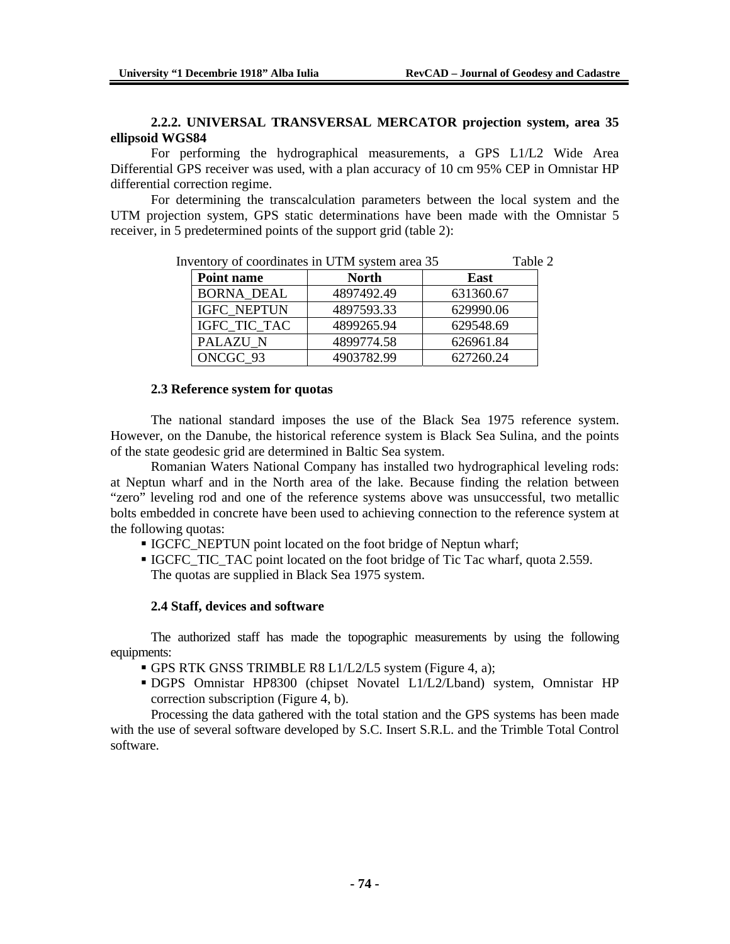### **2.2.2. UNIVERSAL TRANSVERSAL MERCATOR projection system, area 35 ellipsoid WGS84**

For performing the hydrographical measurements, a GPS L1/L2 Wide Area Differential GPS receiver was used, with a plan accuracy of 10 cm 95% CEP in Omnistar HP differential correction regime.

For determining the transcalculation parameters between the local system and the UTM projection system, GPS static determinations have been made with the Omnistar 5 receiver, in 5 predetermined points of the support grid (table 2):

| Inventory of coordinates in UTM system area 35<br>Table 2 |                     |              |           |  |  |  |
|-----------------------------------------------------------|---------------------|--------------|-----------|--|--|--|
|                                                           | Point name          | <b>North</b> | East      |  |  |  |
|                                                           | <b>BORNA DEAL</b>   | 4897492.49   | 631360.67 |  |  |  |
|                                                           | <b>IGFC NEPTUN</b>  | 4897593.33   | 629990.06 |  |  |  |
|                                                           | IGFC TIC TAC        | 4899265.94   | 629548.69 |  |  |  |
|                                                           | PALAZU <sub>N</sub> | 4899774.58   | 626961.84 |  |  |  |
|                                                           | ONCGC 93            | 4903782.99   | 627260.24 |  |  |  |

#### **2.3 Reference system for quotas**

The national standard imposes the use of the Black Sea 1975 reference system. However, on the Danube, the historical reference system is Black Sea Sulina, and the points of the state geodesic grid are determined in Baltic Sea system.

Romanian Waters National Company has installed two hydrographical leveling rods: at Neptun wharf and in the North area of the lake. Because finding the relation between "zero" leveling rod and one of the reference systems above was unsuccessful, two metallic bolts embedded in concrete have been used to achieving connection to the reference system at the following quotas:

- IGCFC\_NEPTUN point located on the foot bridge of Neptun wharf;
- IGCFC\_TIC\_TAC point located on the foot bridge of Tic Tac wharf, quota 2.559. The quotas are supplied in Black Sea 1975 system.

#### **2.4 Staff, devices and software**

The authorized staff has made the topographic measurements by using the following equipments:

- GPS RTK GNSS TRIMBLE R8 L1/L2/L5 system (Figure 4, a);
- DGPS Omnistar HP8300 (chipset Novatel L1/L2/Lband) system, Omnistar HP correction subscription (Figure 4, b).

Processing the data gathered with the total station and the GPS systems has been made with the use of several software developed by S.C. Insert S.R.L. and the Trimble Total Control software.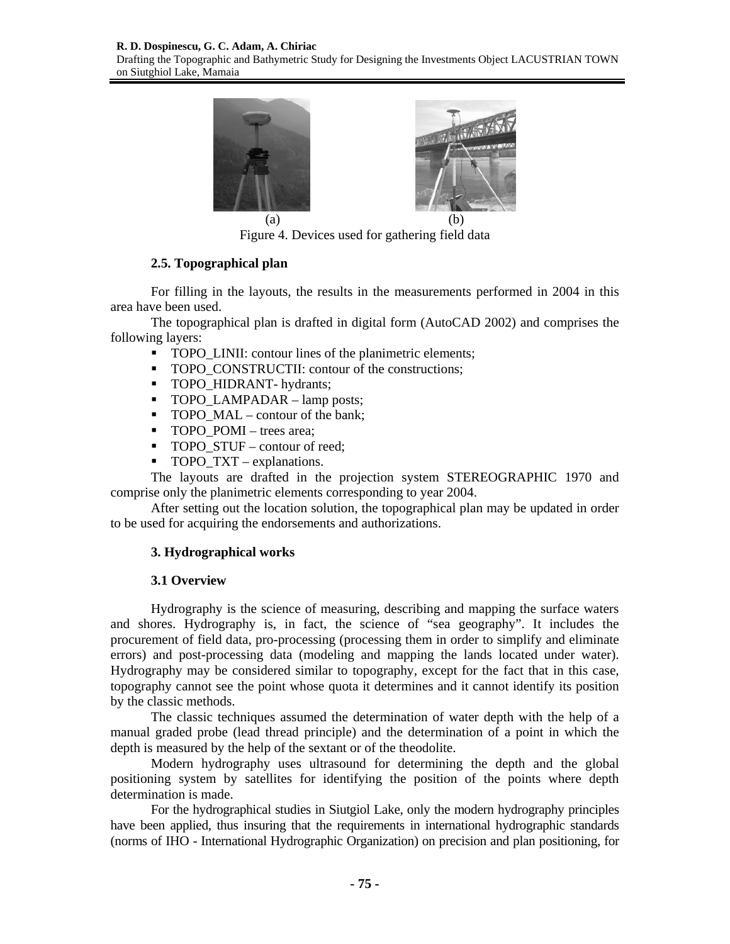#### **R. D. Dospinescu, G. C. Adam, A. Chiriac**  Drafting the Topographic and Bathymetric Study for Designing the Investments Object LACUSTRIAN TOWN on Siutghiol Lake, Mamaia



Figure 4. Devices used for gathering field data

## **2.5. Topographical plan**

For filling in the layouts, the results in the measurements performed in 2004 in this area have been used.

The topographical plan is drafted in digital form (AutoCAD 2002) and comprises the following layers:

- **TOPO\_LINII:** contour lines of the planimetric elements;
- **TOPO\_CONSTRUCTII:** contour of the constructions;
- **TOPO\_HIDRANT-** hydrants;
- **TOPO\_LAMPADAR** lamp posts;
- TOPO MAL contour of the bank;
- TOPO POMI trees area;
- TOPO\_STUF contour of reed;
- **TOPO** TXT explanations.

The layouts are drafted in the projection system STEREOGRAPHIC 1970 and comprise only the planimetric elements corresponding to year 2004.

After setting out the location solution, the topographical plan may be updated in order to be used for acquiring the endorsements and authorizations.

## **3. Hydrographical works**

### **3.1 Overview**

Hydrography is the science of measuring, describing and mapping the surface waters and shores. Hydrography is, in fact, the science of "sea geography". It includes the procurement of field data, pro-processing (processing them in order to simplify and eliminate errors) and post-processing data (modeling and mapping the lands located under water). Hydrography may be considered similar to topography, except for the fact that in this case, topography cannot see the point whose quota it determines and it cannot identify its position by the classic methods.

The classic techniques assumed the determination of water depth with the help of a manual graded probe (lead thread principle) and the determination of a point in which the depth is measured by the help of the sextant or of the theodolite.

Modern hydrography uses ultrasound for determining the depth and the global positioning system by satellites for identifying the position of the points where depth determination is made.

For the hydrographical studies in Siutgiol Lake, only the modern hydrography principles have been applied, thus insuring that the requirements in international hydrographic standards (norms of IHO - International Hydrographic Organization) on precision and plan positioning, for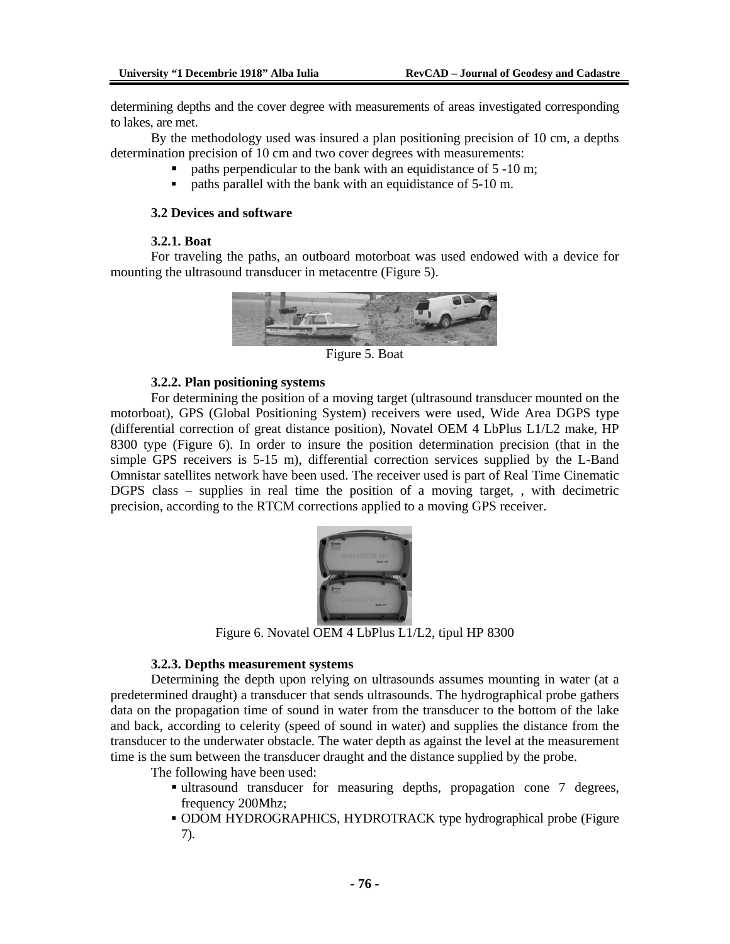determining depths and the cover degree with measurements of areas investigated corresponding to lakes, are met.

By the methodology used was insured a plan positioning precision of 10 cm, a depths determination precision of 10 cm and two cover degrees with measurements:

- paths perpendicular to the bank with an equidistance of 5 -10 m;
- paths parallel with the bank with an equidistance of 5-10 m.

### **3.2 Devices and software**

#### **3.2.1. Boat**

For traveling the paths, an outboard motorboat was used endowed with a device for mounting the ultrasound transducer in metacentre (Figure 5).



Figure 5. Boat

#### **3.2.2. Plan positioning systems**

For determining the position of a moving target (ultrasound transducer mounted on the motorboat), GPS (Global Positioning System) receivers were used, Wide Area DGPS type (differential correction of great distance position), Novatel OEM 4 LbPlus L1/L2 make, HP 8300 type (Figure 6). In order to insure the position determination precision (that in the simple GPS receivers is 5-15 m), differential correction services supplied by the L-Band Omnistar satellites network have been used. The receiver used is part of Real Time Cinematic DGPS class – supplies in real time the position of a moving target, , with decimetric precision, according to the RTCM corrections applied to a moving GPS receiver.



Figure 6. Novatel OEM 4 LbPlus L1/L2, tipul HP 8300

#### **3.2.3. Depths measurement systems**

Determining the depth upon relying on ultrasounds assumes mounting in water (at a predetermined draught) a transducer that sends ultrasounds. The hydrographical probe gathers data on the propagation time of sound in water from the transducer to the bottom of the lake and back, according to celerity (speed of sound in water) and supplies the distance from the transducer to the underwater obstacle. The water depth as against the level at the measurement time is the sum between the transducer draught and the distance supplied by the probe.

The following have been used:

- ultrasound transducer for measuring depths, propagation cone 7 degrees, frequency 200Mhz;
- ODOM HYDROGRAPHICS, HYDROTRACK type hydrographical probe (Figure 7).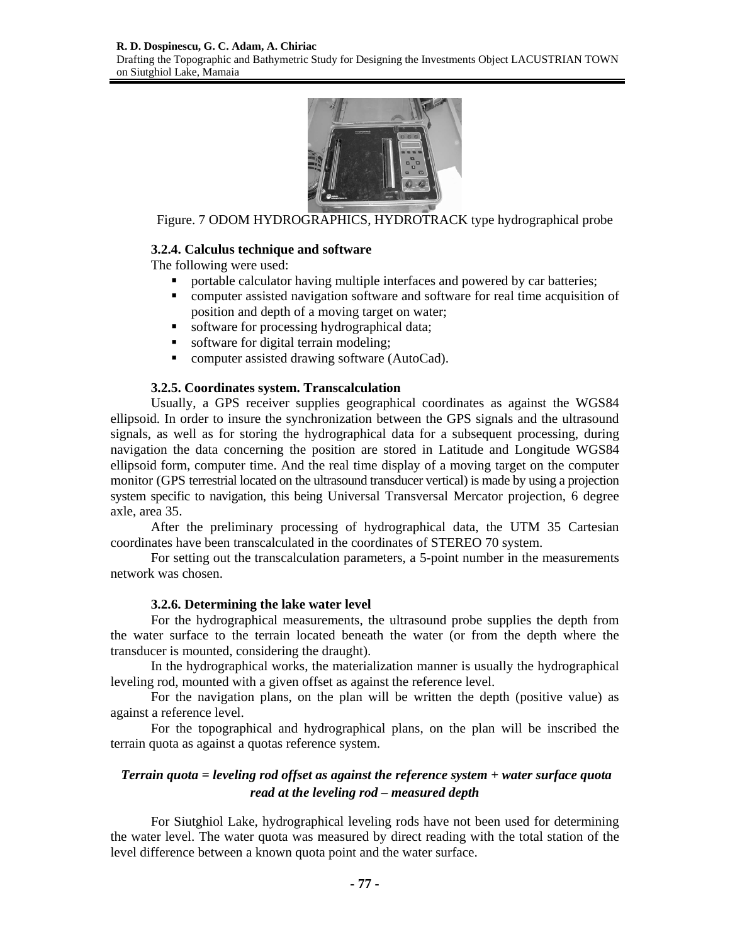

Figure. 7 ODOM HYDROGRAPHICS, HYDROTRACK type hydrographical probe

## **3.2.4. Calculus technique and software**

The following were used:

- portable calculator having multiple interfaces and powered by car batteries;
- computer assisted navigation software and software for real time acquisition of position and depth of a moving target on water;
- software for processing hydrographical data;
- software for digital terrain modeling;
- computer assisted drawing software (AutoCad).

### **3.2.5. Coordinates system. Transcalculation**

Usually, a GPS receiver supplies geographical coordinates as against the WGS84 ellipsoid. In order to insure the synchronization between the GPS signals and the ultrasound signals, as well as for storing the hydrographical data for a subsequent processing, during navigation the data concerning the position are stored in Latitude and Longitude WGS84 ellipsoid form, computer time. And the real time display of a moving target on the computer monitor (GPS terrestrial located on the ultrasound transducer vertical) is made by using a projection system specific to navigation, this being Universal Transversal Mercator projection, 6 degree axle, area 35.

After the preliminary processing of hydrographical data, the UTM 35 Cartesian coordinates have been transcalculated in the coordinates of STEREO 70 system.

For setting out the transcalculation parameters, a 5-point number in the measurements network was chosen.

### **3.2.6. Determining the lake water level**

For the hydrographical measurements, the ultrasound probe supplies the depth from the water surface to the terrain located beneath the water (or from the depth where the transducer is mounted, considering the draught).

In the hydrographical works, the materialization manner is usually the hydrographical leveling rod, mounted with a given offset as against the reference level.

For the navigation plans, on the plan will be written the depth (positive value) as against a reference level.

For the topographical and hydrographical plans, on the plan will be inscribed the terrain quota as against a quotas reference system.

## *Terrain quota = leveling rod offset as against the reference system + water surface quota read at the leveling rod – measured depth*

For Siutghiol Lake, hydrographical leveling rods have not been used for determining the water level. The water quota was measured by direct reading with the total station of the level difference between a known quota point and the water surface.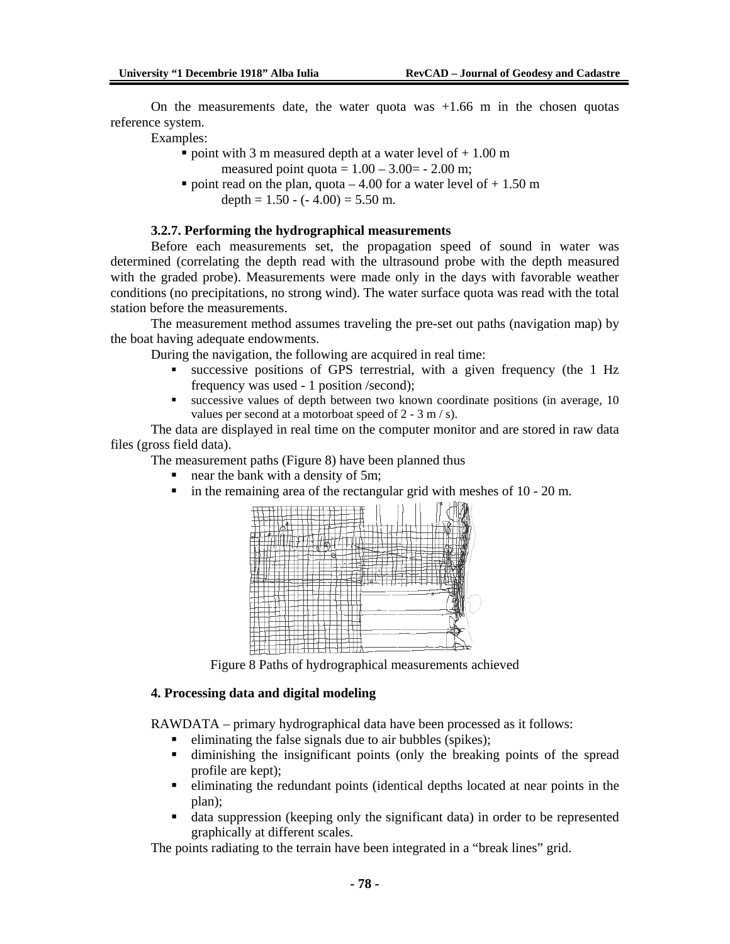On the measurements date, the water quota was  $+1.66$  m in the chosen quotas reference system.

Examples:

point with 3 m measured depth at a water level of  $+1.00$  m

```
measured point quota = 1.00 - 3.00 = -2.00 m;
```
point read on the plan, quota  $-4.00$  for a water level of  $+1.50$  m depth =  $1.50 - (-4.00) = 5.50$  m.

#### **3.2.7. Performing the hydrographical measurements**

Before each measurements set, the propagation speed of sound in water was determined (correlating the depth read with the ultrasound probe with the depth measured with the graded probe). Measurements were made only in the days with favorable weather conditions (no precipitations, no strong wind). The water surface quota was read with the total station before the measurements.

The measurement method assumes traveling the pre-set out paths (navigation map) by the boat having adequate endowments.

During the navigation, the following are acquired in real time:

- successive positions of GPS terrestrial, with a given frequency (the 1 Hz frequency was used - 1 position /second);
- successive values of depth between two known coordinate positions (in average, 10 values per second at a motorboat speed of 2 - 3 m / s).

The data are displayed in real time on the computer monitor and are stored in raw data files (gross field data).

The measurement paths (Figure 8) have been planned thus

- near the bank with a density of 5m;
- in the remaining area of the rectangular grid with meshes of 10 20 m.



Figure 8 Paths of hydrographical measurements achieved

#### **4. Processing data and digital modeling**

RAWDATA – primary hydrographical data have been processed as it follows:

- eliminating the false signals due to air bubbles (spikes);
- diminishing the insignificant points (only the breaking points of the spread profile are kept);
- eliminating the redundant points (identical depths located at near points in the plan);
- data suppression (keeping only the significant data) in order to be represented graphically at different scales.

The points radiating to the terrain have been integrated in a "break lines" grid.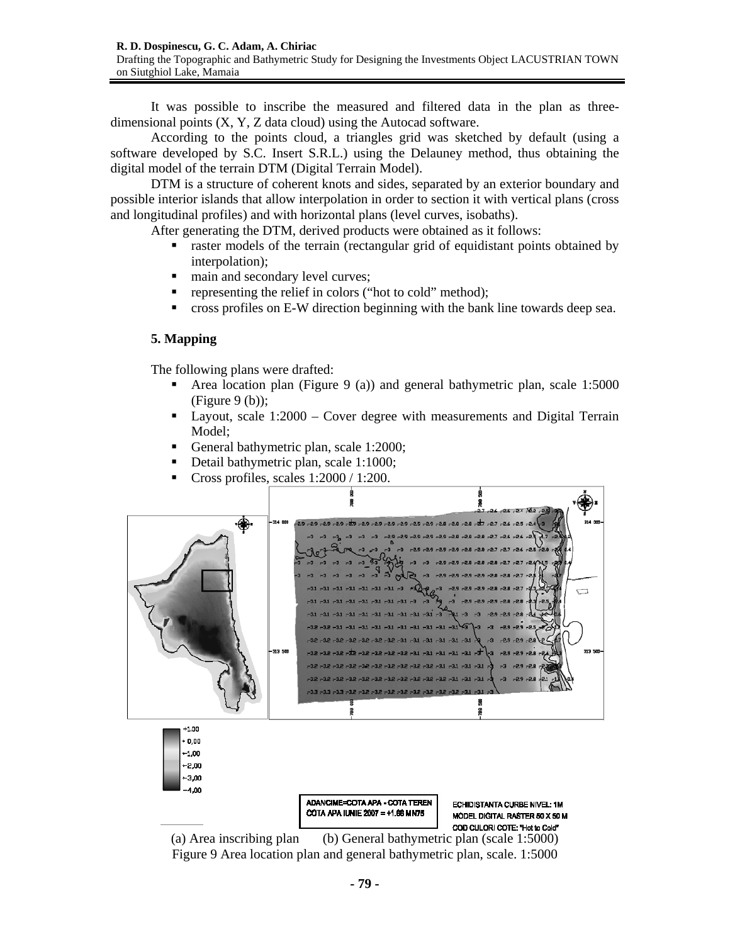It was possible to inscribe the measured and filtered data in the plan as threedimensional points (X, Y, Z data cloud) using the Autocad software.

According to the points cloud, a triangles grid was sketched by default (using a software developed by S.C. Insert S.R.L.) using the Delauney method, thus obtaining the digital model of the terrain DTM (Digital Terrain Model).

DTM is a structure of coherent knots and sides, separated by an exterior boundary and possible interior islands that allow interpolation in order to section it with vertical plans (cross and longitudinal profiles) and with horizontal plans (level curves, isobaths).

After generating the DTM, derived products were obtained as it follows:

- raster models of the terrain (rectangular grid of equidistant points obtained by interpolation);
- $\blacksquare$  main and secondary level curves;
- representing the relief in colors ("hot to cold" method);
- cross profiles on E-W direction beginning with the bank line towards deep sea.

## **5. Mapping**

The following plans were drafted:

- Area location plan (Figure 9 (a)) and general bathymetric plan, scale 1:5000 (Figure  $9$  (b));
- Layout, scale 1:2000 Cover degree with measurements and Digital Terrain Model;
- General bathymetric plan, scale 1:2000;
- Detail bathymetric plan, scale 1:1000;
- Cross profiles, scales 1:2000 / 1:200.



 $-1,00$  $-2,00$  $-3,00$  $-4,00$ 

> ADANCIME=COTA APA - COTA TEREN COTA APA IUNIE 2007 = +1.66 MN75

**ECHIDISTANTA CURBE NIVEL: 1M** MODEL DIGITAL RASTER 50 X 50 M

COD CULORI COTE: "Hot to Cold"<br>
(a) Area inscribing plan (b) General bathymetric plan (scale 1:5000) Figure 9 Area location plan and general bathymetric plan, scale. 1:5000